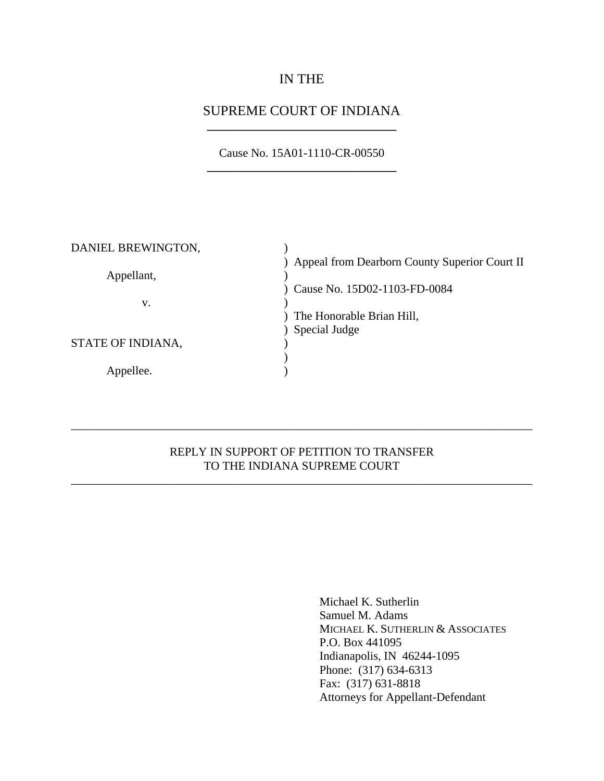## IN THE

### SUPREME COURT OF INDIANA **\_\_\_\_\_\_\_\_\_\_\_\_\_\_\_\_\_\_\_\_\_\_\_\_\_\_\_\_\_\_\_\_**

Cause No. 15A01-1110-CR-00550 **\_\_\_\_\_\_\_\_\_\_\_\_\_\_\_\_\_\_\_\_\_\_\_\_\_\_\_\_\_\_\_\_**

| DANIEL BREWINGTON, |                                                 |
|--------------------|-------------------------------------------------|
|                    | ) Appeal from Dearborn County Superior Court II |
| Appellant,         |                                                 |
|                    | Cause No. 15D02-1103-FD-0084                    |
| v.                 |                                                 |
|                    | The Honorable Brian Hill,                       |
|                    | Special Judge                                   |
| STATE OF INDIANA,  |                                                 |
|                    |                                                 |
| Appellee.          |                                                 |
|                    |                                                 |

### REPLY IN SUPPORT OF PETITION TO TRANSFER TO THE INDIANA SUPREME COURT

\_\_\_\_\_\_\_\_\_\_\_\_\_\_\_\_\_\_\_\_\_\_\_\_\_\_\_\_\_\_\_\_\_\_\_\_\_\_\_\_\_\_\_\_\_\_\_\_\_\_\_\_\_\_\_\_\_\_\_\_\_\_\_\_\_\_\_\_\_\_\_\_\_\_\_\_\_\_

\_\_\_\_\_\_\_\_\_\_\_\_\_\_\_\_\_\_\_\_\_\_\_\_\_\_\_\_\_\_\_\_\_\_\_\_\_\_\_\_\_\_\_\_\_\_\_\_\_\_\_\_\_\_\_\_\_\_\_\_\_\_\_\_\_\_\_\_\_\_\_\_\_\_\_\_\_\_

Michael K. Sutherlin Samuel M. Adams MICHAEL K. SUTHERLIN & ASSOCIATES P.O. Box 441095 Indianapolis, IN 46244-1095 Phone: (317) 634-6313 Fax: (317) 631-8818 Attorneys for Appellant-Defendant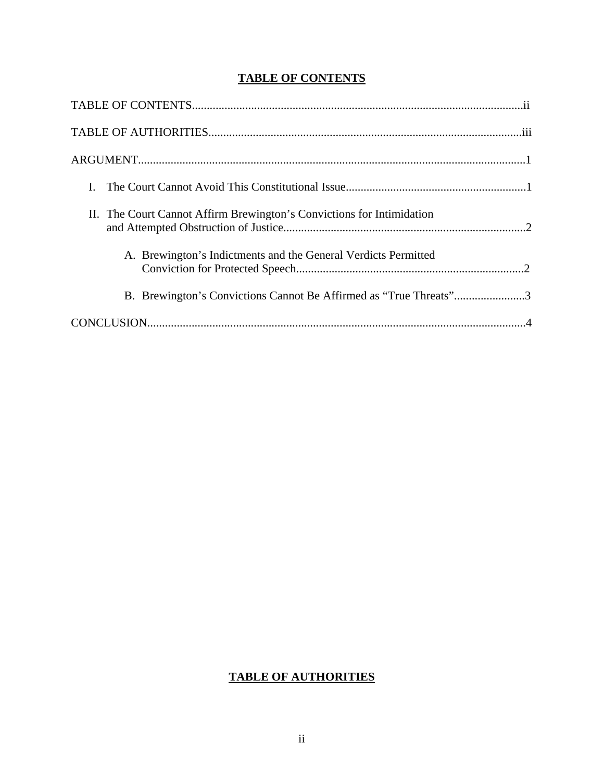## **TABLE OF CONTENTS**

| II. The Court Cannot Affirm Brewington's Convictions for Intimidation |
|-----------------------------------------------------------------------|
| A. Brewington's Indictments and the General Verdicts Permitted        |
| B. Brewington's Convictions Cannot Be Affirmed as "True Threats"3     |
|                                                                       |

### <span id="page-1-0"></span>**TABLE OF AUTHORITIES**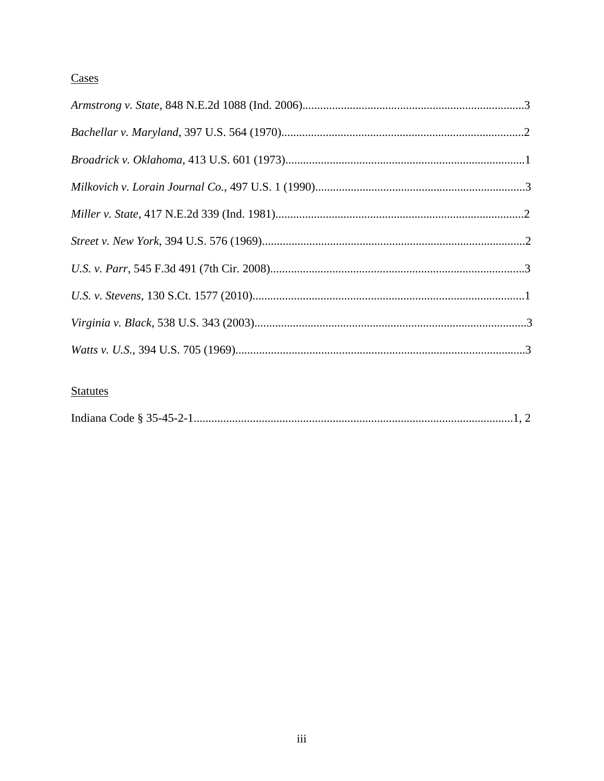# Cases

## **Statutes**

|--|--|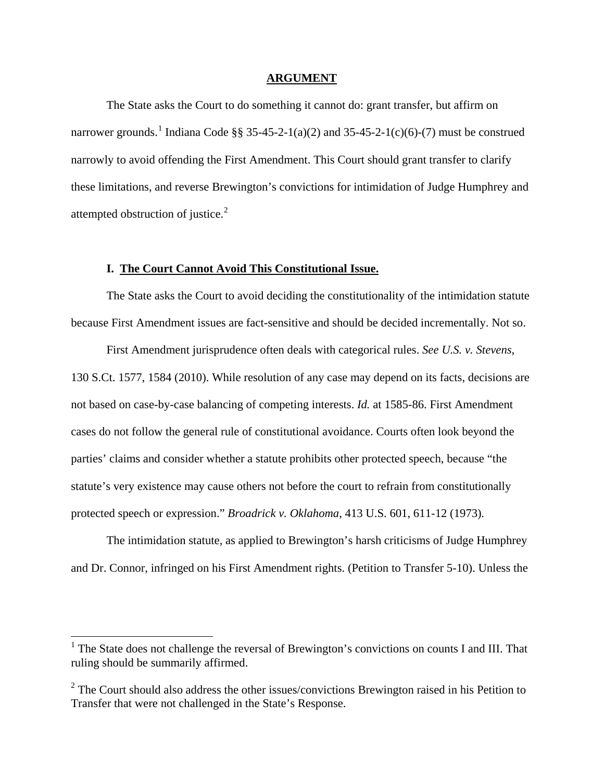#### **ARGUMENT**

The State asks the Court to do something it cannot do: grant transfer, but affirm on narrower grounds.<sup>[1](#page-1-0)</sup> Indiana Code §§ 35-45-2-1(a)(2) and 35-45-2-1(c)(6)-(7) must be construed narrowly to avoid offending the First Amendment. This Court should grant transfer to clarify these limitations, and reverse Brewington's convictions for intimidation of Judge Humphrey and attempted obstruction of justice.[2](#page-3-0)

#### **I. The Court Cannot Avoid This Constitutional Issue.**

The State asks the Court to avoid deciding the constitutionality of the intimidation statute because First Amendment issues are fact-sensitive and should be decided incrementally. Not so.

First Amendment jurisprudence often deals with categorical rules. *See U.S. v. Stevens*, 130 S.Ct. 1577, 1584 (2010). While resolution of any case may depend on its facts, decisions are not based on case-by-case balancing of competing interests. *Id.* at 1585-86. First Amendment cases do not follow the general rule of constitutional avoidance. Courts often look beyond the parties' claims and consider whether a statute prohibits other protected speech, because "the statute's very existence may cause others not before the court to refrain from constitutionally protected speech or expression." *Broadrick v. Oklahoma*, 413 U.S. 601, 611-12 (1973)*.*

The intimidation statute, as applied to Brewington's harsh criticisms of Judge Humphrey and Dr. Connor, infringed on his First Amendment rights. (Petition to Transfer 5-10). Unless the

<span id="page-3-1"></span><sup>&</sup>lt;sup>1</sup> The State does not challenge the reversal of Brewington's convictions on counts I and III. That ruling should be summarily affirmed.

<span id="page-3-0"></span> $2^2$  The Court should also address the other issues/convictions Brewington raised in his Petition to Transfer that were not challenged in the State's Response.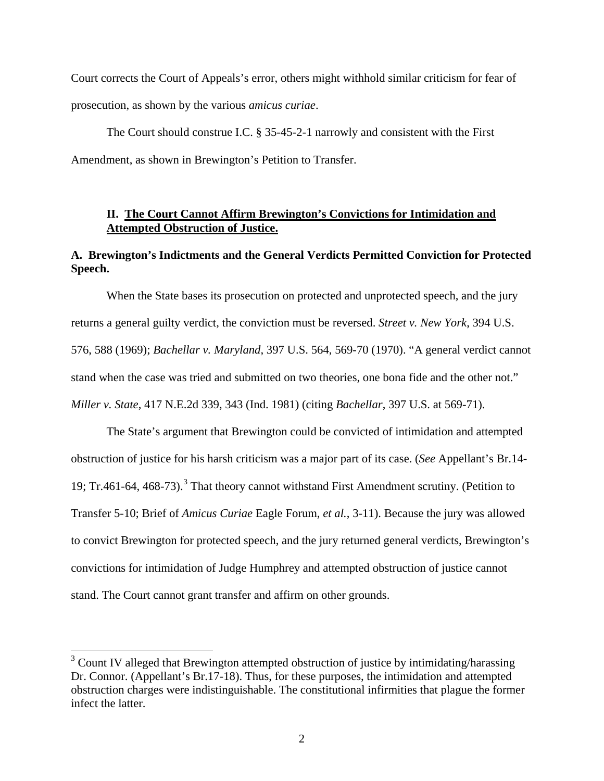Court corrects the Court of Appeals's error, others might withhold similar criticism for fear of prosecution, as shown by the various *amicus curiae*.

The Court should construe I.C. § 35-45-2-1 narrowly and consistent with the First Amendment, as shown in Brewington's Petition to Transfer.

### **II. The Court Cannot Affirm Brewington's Convictions for Intimidation and Attempted Obstruction of Justice.**

### **A. Brewington's Indictments and the General Verdicts Permitted Conviction for Protected Speech.**

When the State bases its prosecution on protected and unprotected speech, and the jury returns a general guilty verdict, the conviction must be reversed. *Street v. New York*, 394 U.S. 576, 588 (1969); *Bachellar v. Maryland*, 397 U.S. 564, 569-70 (1970). "A general verdict cannot stand when the case was tried and submitted on two theories, one bona fide and the other not." *Miller v. State*, 417 N.E.2d 339, 343 (Ind. 1981) (citing *Bachellar*, 397 U.S. at 569-71).

The State's argument that Brewington could be convicted of intimidation and attempted obstruction of justice for his harsh criticism was a major part of its case. (*See* Appellant's Br.14- 19; Tr.461-64, 468-7[3](#page-3-1)).<sup>3</sup> That theory cannot withstand First Amendment scrutiny. (Petition to Transfer 5-10; Brief of *Amicus Curiae* Eagle Forum, *et al.*, 3-11). Because the jury was allowed to convict Brewington for protected speech, and the jury returned general verdicts, Brewington's convictions for intimidation of Judge Humphrey and attempted obstruction of justice cannot stand. The Court cannot grant transfer and affirm on other grounds.

 $3$  Count IV alleged that Brewington attempted obstruction of justice by intimidating/harassing Dr. Connor. (Appellant's Br.17-18). Thus, for these purposes, the intimidation and attempted obstruction charges were indistinguishable. The constitutional infirmities that plague the former infect the latter.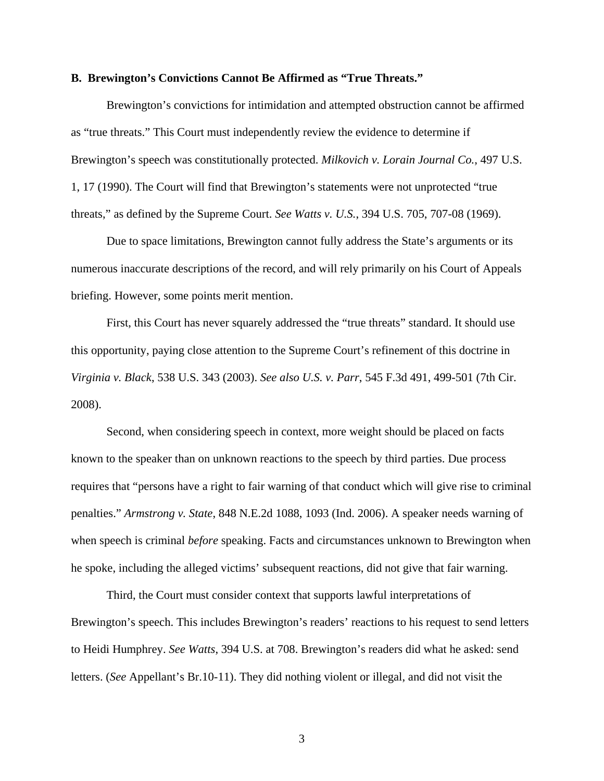#### **B. Brewington's Convictions Cannot Be Affirmed as "True Threats."**

Brewington's convictions for intimidation and attempted obstruction cannot be affirmed as "true threats." This Court must independently review the evidence to determine if Brewington's speech was constitutionally protected. *Milkovich v. Lorain Journal Co.*, 497 U.S. 1, 17 (1990). The Court will find that Brewington's statements were not unprotected "true threats," as defined by the Supreme Court. *See Watts v. U.S.*, 394 U.S. 705, 707-08 (1969).

Due to space limitations, Brewington cannot fully address the State's arguments or its numerous inaccurate descriptions of the record, and will rely primarily on his Court of Appeals briefing. However, some points merit mention.

First, this Court has never squarely addressed the "true threats" standard. It should use this opportunity, paying close attention to the Supreme Court's refinement of this doctrine in *Virginia v. Black*, 538 U.S. 343 (2003). *See also U.S. v. Parr*, 545 F.3d 491, 499-501 (7th Cir. 2008).

Second, when considering speech in context, more weight should be placed on facts known to the speaker than on unknown reactions to the speech by third parties. Due process requires that "persons have a right to fair warning of that conduct which will give rise to criminal penalties." *Armstrong v. State*, 848 N.E.2d 1088, 1093 (Ind. 2006). A speaker needs warning of when speech is criminal *before* speaking. Facts and circumstances unknown to Brewington when he spoke, including the alleged victims' subsequent reactions, did not give that fair warning.

Third, the Court must consider context that supports lawful interpretations of Brewington's speech. This includes Brewington's readers' reactions to his request to send letters to Heidi Humphrey. *See Watts*, 394 U.S. at 708. Brewington's readers did what he asked: send letters. (*See* Appellant's Br.10-11). They did nothing violent or illegal, and did not visit the

3